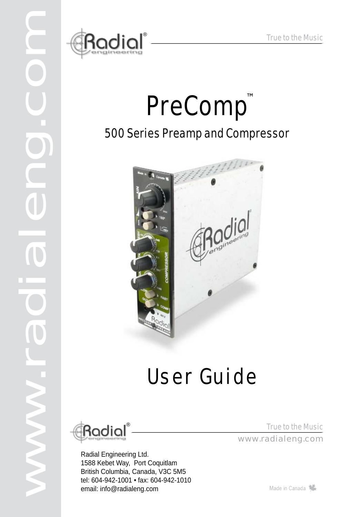

# PreComp™ 500 Series Preamp and Compressor



# User Guide



www.radialeng.com

T

1

Radial Engineering Ltd. 1588 Kebet Way, Port Coquitlam British Columbia, Canada, V3C 5M5 tel: 604-942-1001 • fax: 604-942-1010 email: info@radialeng.com

True to the Music True to the Music<br>www.radialeng.com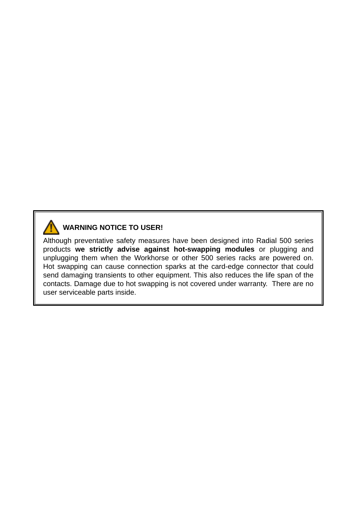

#### **WARNING NOTICE TO USER!**

Although preventative safety measures have been designed into Radial 500 series products **we strictly advise against hot-swapping modules** or plugging and unplugging them when the Workhorse or other 500 series racks are powered on. Hot swapping can cause connection sparks at the card-edge connector that could send damaging transients to other equipment. This also reduces the life span of the contacts. Damage due to hot swapping is not covered under warranty. There are no user serviceable parts inside.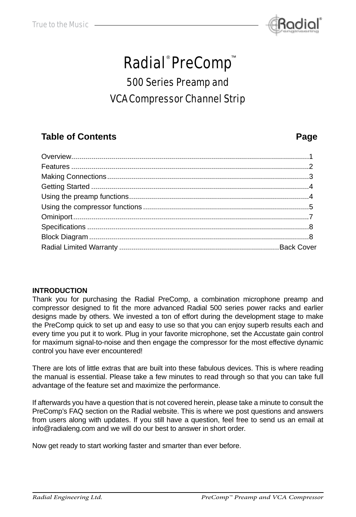

## **Radial**®PreComp™

### 500 Series Preamp and VCA Compressor Channel Strip

### **Table of Contents Page**

#### **INTRODUCTION**

Thank you for purchasing the Radial PreComp, a combination microphone preamp and compressor designed to fit the more advanced Radial 500 series power racks and earlier designs made by others. We invested a ton of effort during the development stage to make the PreComp quick to set up and easy to use so that you can enjoy superb results each and every time you put it to work. Plug in your favorite microphone, set the Accustate gain control for maximum signal-to-noise and then engage the compressor for the most effective dynamic control you have ever encountered!

There are lots of little extras that are built into these fabulous devices. This is where reading the manual is essential. Please take a few minutes to read through so that you can take full advantage of the feature set and maximize the performance.

If afterwards you have a question that is not covered herein, please take a minute to consult the PreComp's FAQ section on the Radial website. This is where we post questions and answers from users along with updates. If you still have a question, feel free to send us an email at info@radialeng.com and we will do our best to answer in short order.

Now get ready to start working faster and smarter than ever before.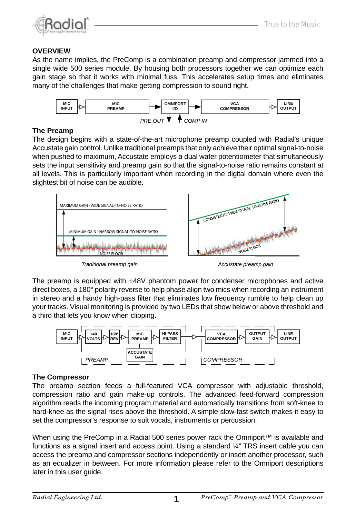

#### **OVERVIEW**

As the name implies, the PreComp is a combination preamp and compressor jammed into a single wide 500 series module. By housing both processors together we can optimize each gain stage so that it works with minimal fuss. This accelerates setup times and eliminates many of the challenges that make getting compression to sound right.



#### **The Preamp**

The design begins with a state-of-the-art microphone preamp coupled with Radial's unique Accustate gain control. Unlike traditional preamps that only achieve their optimal signal-to-noise when pushed to maximum, Accustate employs a dual wafer potentiometer that simultaneously sets the input sensitivity and preamp gain so that the signal-to-noise ratio remains constant at all levels. This is particularly important when recording in the digital domain where even the slightest bit of noise can be audible.



The preamp is equipped with +48V phantom power for condenser microphones and active direct boxes, a 180° polarity reverse to help phase align two mics when recording an instrument in stereo and a handy high-pass filter that eliminates low frequency rumble to help clean up your tracks. Visual monitoring is provided by two LEDs that show below or above threshold and a third that lets you know when clipping.



#### **The Compressor**

The preamp section feeds a full-featured VCA compressor with adjustable threshold, compression ratio and gain make-up controls. The advanced feed-forward compression algorithm reads the incoming program material and automatically transitions from soft-knee to hard-knee as the signal rises above the threshold. A simple slow-fast switch makes it easy to set the compressor's response to suit vocals, instruments or percussion.

When using the PreComp in a Radial 500 series power rack the Omniport™ is available and functions as a signal insert and access point. Using a standard ¼" TRS insert cable you can access the preamp and compressor sections independently or insert another processor, such as an equalizer in between. For more information please refer to the Omniport descriptions later in this user guide.

1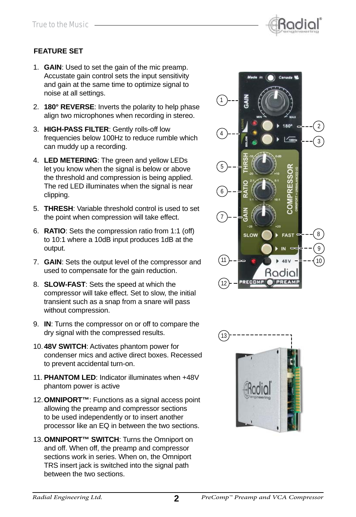

#### **FEATURE SET**

- 1. **GAIN**: Used to set the gain of the mic preamp. Accustate gain control sets the input sensitivity and gain at the same time to optimize signal to noise at all settings.
- 2. **180° REVERSE**: Inverts the polarity to help phase align two microphones when recording in stereo.
- 3. **HIGH-PASS FILTER**: Gently rolls-off low frequencies below 100Hz to reduce rumble which can muddy up a recording.
- 4. **LED METERING**: The green and yellow LEDs let you know when the signal is below or above the threshold and compression is being applied. The red LED illuminates when the signal is near clipping.
- 5. **THRESH**: Variable threshold control is used to set the point when compression will take effect.
- 6. **RATIO**: Sets the compression ratio from 1:1 (off) to 10:1 where a 10dB input produces 1dB at the output.
- 7. **GAIN**: Sets the output level of the compressor and used to compensate for the gain reduction.
- 8. **SLOW-FAST**: Sets the speed at which the compressor will take effect. Set to slow, the initial transient such as a snap from a snare will pass without compression.
- 9. **IN**: Turns the compressor on or off to compare the dry signal with the compressed results.
- 10. **48V SWITCH**: Activates phantom power for condenser mics and active direct boxes. Recessed to prevent accidental turn-on.
- 11. **PHANTOM LED**: Indicator illuminates when +48V phantom power is active
- 12. **OMNIPORT™**: Functions as a signal access point allowing the preamp and compressor sections to be used independently or to insert another processor like an EQ in between the two sections.
- 13. **OMNIPORT™ SWITCH**: Turns the Omniport on and off. When off, the preamp and compressor sections work in series. When on, the Omniport TRS insert jack is switched into the signal path between the two sections.



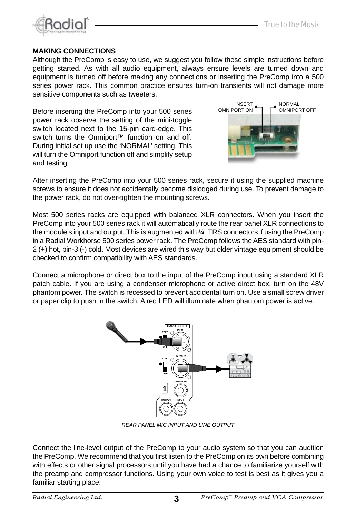

NORMAL OMNIPORT OFF

INSERT OMNIPORT ON

#### **MAKING CONNECTIONS**

Although the PreComp is easy to use, we suggest you follow these simple instructions before getting started. As with all audio equipment, always ensure levels are turned down and equipment is turned off before making any connections or inserting the PreComp into a 500 series power rack. This common practice ensures turn-on transients will not damage more sensitive components such as tweeters.

Before inserting the PreComp into your 500 series power rack observe the setting of the mini-toggle switch located next to the 15-pin card-edge. This switch turns the Omniport<sup>™</sup> function on and off. During initial set up use the 'NORMAL' setting. This will turn the Omniport function off and simplify setup and testing.

After inserting the PreComp into your 500 series rack, secure it using the supplied machine screws to ensure it does not accidentally become dislodged during use. To prevent damage to the power rack, do not over-tighten the mounting screws.

Most 500 series racks are equipped with balanced XLR connectors. When you insert the PreComp into your 500 series rack it will automatically route the rear panel XLR connections to the module's input and output. This is augmented with ¼" TRS connectors if using the PreComp in a Radial Workhorse 500 series power rack. The PreComp follows the AES standard with pin-2 (+) hot, pin-3 (-) cold. Most devices are wired this way but older vintage equipment should be checked to confirm compatibility with AES standards.

Connect a microphone or direct box to the input of the PreComp input using a standard XLR patch cable. If you are using a condenser microphone or active direct box, turn on the 48V phantom power. The switch is recessed to prevent accidental turn on. Use a small screw driver or paper clip to push in the switch. A red LED will illuminate when phantom power is active.

*REAR PANEL MIC INPUT AND LINE OUTPUT*

Connect the line-level output of the PreComp to your audio system so that you can audition the PreComp. We recommend that you first listen to the PreComp on its own before combining with effects or other signal processors until you have had a chance to familiarize yourself with the preamp and compressor functions. Using your own voice to test is best as it gives you a familiar starting place.

3





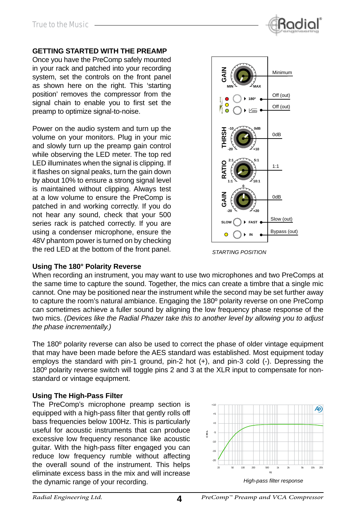

#### **GETTING STARTED WITH THE PREAMP**

Once you have the PreComp safely mounted in your rack and patched into your recording system, set the controls on the front panel as shown here on the right. This 'starting position' removes the compressor from the signal chain to enable you to first set the preamp to optimize signal-to-noise.

Power on the audio system and turn up the volume on your monitors. Plug in your mic and slowly turn up the preamp gain control while observing the LED meter. The top red LED illuminates when the signal is clipping. If it flashes on signal peaks, turn the gain down by about 10% to ensure a strong signal level is maintained without clipping. Always test at a low volume to ensure the PreComp is patched in and working correctly. If you do not hear any sound, check that your 500 series rack is patched correctly. If you are using a condenser microphone, ensure the 48V phantom power is turned on by checking the red LED at the bottom of the front panel.



*STARTING POSITION*

#### **Using The 180° Polarity Reverse**

When recording an instrument, you may want to use two microphones and two PreComps at the same time to capture the sound. Together, the mics can create a timbre that a single mic cannot. One may be positioned near the instrument while the second may be set further away to capture the room's natural ambiance. Engaging the 180º polarity reverse on one PreComp can sometimes achieve a fuller sound by aligning the low frequency phase response of the two mics. *(Devices like the Radial Phazer take this to another level by allowing you to adjust the phase incrementally.)*

The 180º polarity reverse can also be used to correct the phase of older vintage equipment that may have been made before the AES standard was established. Most equipment today employs the standard with pin-1 ground, pin-2 hot (+), and pin-3 cold (-). Depressing the 180º polarity reverse switch will toggle pins 2 and 3 at the XLR input to compensate for nonstandard or vintage equipment.

#### **Using The High-Pass Filter**

The PreComp's microphone preamp section is equipped with a high-pass filter that gently rolls off bass frequencies below 100Hz. This is particularly useful for acoustic instruments that can produce excessive low frequency resonance like acoustic guitar. With the high-pass filter engaged you can reduce low frequency rumble without affecting the overall sound of the instrument. This helps eliminate excess bass in the mix and will increase the dynamic range of your recording. *High-pass filter response* 

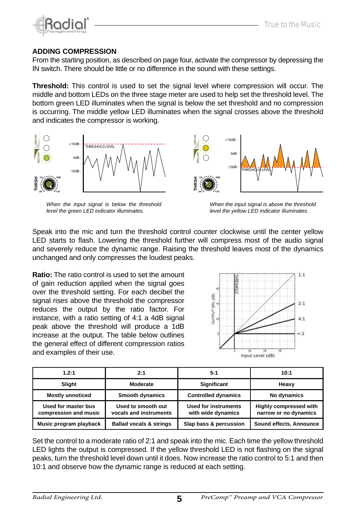

#### **ADDING COMPRESSION**

From the starting position, as described on page four, activate the compressor by depressing the IN switch. There should be little or no difference in the sound with these settings.

**Threshold:** This control is used to set the signal level where compression will occur. The middle and bottom LEDs on the three stage meter are used to help set the threshold level. The bottom green LED illuminates when the signal is below the set threshold and no compression is occurring. The middle yellow LED illuminates when the signal crosses above the threshold and indicates the compressor is working.



*When the input signal is below the threshold level the green LED indicator illuminates.*



*When the input signal is above the threshold level the yellow LED indicator illuminates.*

Speak into the mic and turn the threshold control counter clockwise until the center yellow LED starts to flash. Lowering the threshold further will compress most of the audio signal and severely reduce the dynamic range. Raising the threshold leaves most of the dynamics unchanged and only compresses the loudest peaks.

**Ratio:** The ratio control is used to set the amount of gain reduction applied when the signal goes over the threshold setting. For each decibel the signal rises above the threshold the compressor reduces the output by the ratio factor. For instance, with a ratio setting of 4:1 a 4dB signal peak above the threshold will produce a 1dB increase at the output. The table below outlines the general effect of different compression ratios and examples of their use.



| 1.2:1                                        | 2:1                                          | 5:1                                               | 10:1                                            |
|----------------------------------------------|----------------------------------------------|---------------------------------------------------|-------------------------------------------------|
| Slight                                       | Moderate                                     | <b>Significant</b>                                | Heavy                                           |
| <b>Mostly unnoticed</b>                      | Smooth dynamics                              | <b>Controlled dynamics</b>                        | No dynamics                                     |
| Used for master bus<br>compression and music | Used to smooth out<br>vocals and instruments | <b>Used for instruments</b><br>with wide dynamics | Highly compressed with<br>narrow or no dynamics |
| Music program playback                       | <b>Ballad vocals &amp; strings</b>           | Slap bass & percussion                            | Sound effects, Announce                         |

Set the control to a moderate ratio of 2:1 and speak into the mic. Each time the yellow threshold LED lights the output is compressed. If the yellow threshold LED is not flashing on the signal peaks, turn the threshold level down until it does. Now increase the ratio control to 5:1 and then 10:1 and observe how the dynamic range is reduced at each setting.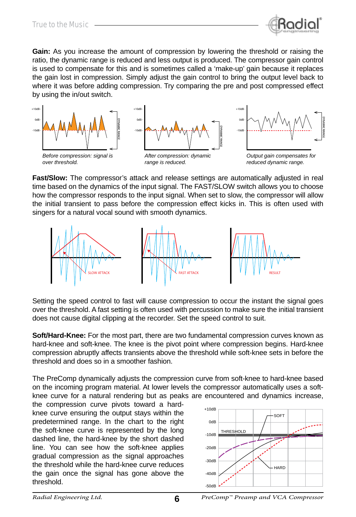

**Gain:** As you increase the amount of compression by lowering the threshold or raising the ratio, the dynamic range is reduced and less output is produced. The compressor gain control is used to compensate for this and is sometimes called a 'make-up' gain because it replaces the gain lost in compression. Simply adjust the gain control to bring the output level back to where it was before adding compression. Try comparing the pre and post compressed effect by using the in/out switch.



**Fast/Slow:** The compressor's attack and release settings are automatically adjusted in real time based on the dynamics of the input signal. The FAST/SLOW switch allows you to choose how the compressor responds to the input signal. When set to slow, the compressor will allow the initial transient to pass before the compression effect kicks in. This is often used with singers for a natural vocal sound with smooth dynamics.



Setting the speed control to fast will cause compression to occur the instant the signal goes over the threshold. A fast setting is often used with percussion to make sure the initial transient does not cause digital clipping at the recorder. Set the speed control to suit.

**Soft/Hard-Knee:** For the most part, there are two fundamental compression curves known as hard-knee and soft-knee. The knee is the pivot point where compression begins. Hard-knee compression abruptly affects transients above the threshold while soft-knee sets in before the threshold and does so in a smoother fashion.

The PreComp dynamically adjusts the compression curve from soft-knee to hard-knee based on the incoming program material. At lower levels the compressor automatically uses a softknee curve for a natural rendering but as peaks are encountered and dynamics increase,

the compression curve pivots toward a hardknee curve ensuring the output stays within the predetermined range. In the chart to the right the soft-knee curve is represented by the long dashed line, the hard-knee by the short dashed line. You can see how the soft-knee applies gradual compression as the signal approaches the threshold while the hard-knee curve reduces the gain once the signal has gone above the threshold.

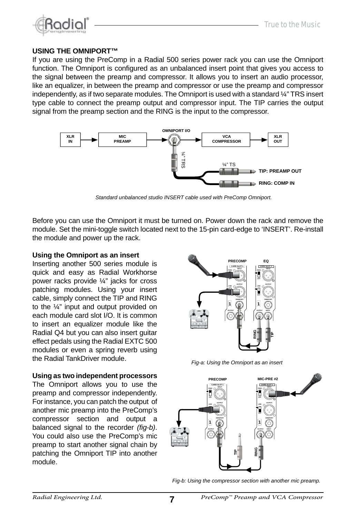

#### **USING THE OMNIPORT™**

If you are using the PreComp in a Radial 500 series power rack you can use the Omniport function. The Omniport is confiqured as an unbalanced insert point that gives you access to the signal between the preamp and compressor. It allows you to insert an audio processor, like an equalizer, in between the preamp and compressor or use the preamp and compressor independently, as if two separate modules. The Omniport is used with a standard ¼" TRS insert type cable to connect the preamp output and compressor input. The TIP carries the output signal from the preamp section and the RING is the input to the compressor.



Before you can use the Omniport it must be turned on. Power down the rack and remove the module. Set the mini-toggle switch located next to the 15-pin card-edge to 'INSERT'. Re-install the module and power up the rack.

#### **Using the Omniport as an insert**

Inserting another 500 series module is quick and easy as Radial Workhorse power racks provide ¼" jacks for cross patching modules. Using your insert cable, simply connect the TIP and RING to the ¼" input and output provided on each module card slot I/O. It is common to insert an equalizer module like the Radial Q4 but you can also insert guitar effect pedals using the Radial EXTC 500 modules or even a spring reverb using the Radial TankDriver module.

#### **Using as two independent processors**

The Omniport allows you to use the preamp and compressor independently. For instance, you can patch the output of another mic preamp into the PreComp's compressor section and output a balanced signal to the recorder (fig-b). You could also use the PreComp's mic preamp to start another signal chain by patching the Omniport TIP into another module.



**Fig-a: Using the Omniport as an insert** 



*Fig-b: Using the compressor section with another mic preamp.*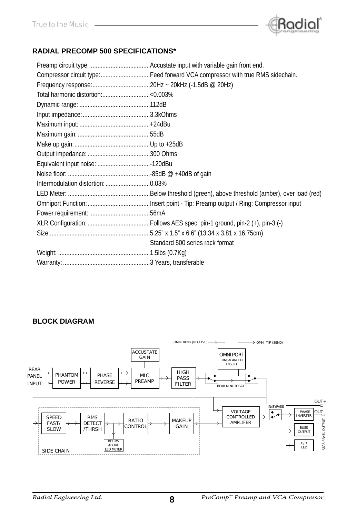

#### **RADIAL PRECOMP 500 SPECIFICATIONS\***

| Compressor circuit type:Feed forward VCA compressor with true RMS sidechain. |
|------------------------------------------------------------------------------|
|                                                                              |
|                                                                              |
|                                                                              |
|                                                                              |
|                                                                              |
|                                                                              |
|                                                                              |
|                                                                              |
|                                                                              |
|                                                                              |
|                                                                              |
|                                                                              |
|                                                                              |
|                                                                              |
|                                                                              |
|                                                                              |
| Standard 500 series rack format                                              |
|                                                                              |
|                                                                              |

#### **BLOCK DIAGRAM**